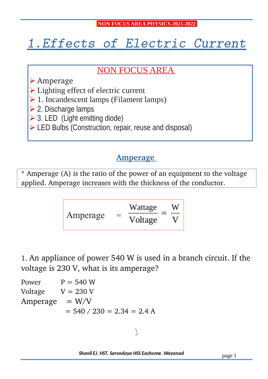# 1.Effects of Electric Current

# NON FOCUS AREA

- ➢ Amperage
- ➢ Lighting effect of electric current
- ➢ 1. Incandescent lamps (Filament lamps)
- ➢ 2. Discharge lamps
- $\geq$  3. LED (Light emitting diode)
- ➢ LED Bulbs (Construction, repair, reuse and disposal)

## **Amperage**

\* Amperage (A) is the ratio of the power of an equipment to the voltage applied. Amperage increases with the thickness of the conductor.

$$
Amperage = \frac{Wattage}{Voltage} = \frac{W}{V}
$$

1. An appliance of power 540 W is used in a branch circuit. If the voltage is 230 V, what is its amperage?

Power  $P = 540 W$ Voltage  $V = 230 V$  $Amperage = W/V$  $= 540 / 230 = 2.34 = 2.4 A$ 

## $\overline{\phantom{0}}$

Shanil EJ. HST. Sarvodaya HSS Eachome. Wayanad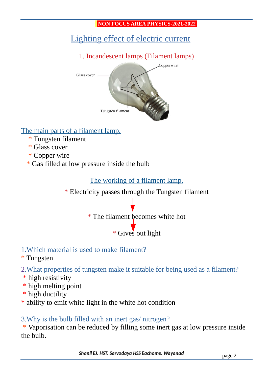# Lighting effect of electric current

1. Incandescent lamps (Filament lamps)



## The main parts of a filament lamp.

- \* Tungsten filament
- \* Glass cover
- \* Copper wire
- \* Gas filled at low pressure inside the bulb

The working of a filament lamp.

\* Electricity passes through the Tungsten filament



\* Gives out light

## 1.Which material is used to make filament?

\* Tungsten

2.What properties of tungsten make it suitable for being used as a filament?

- \* high resistivity
- \* high melting point
- \* high ductility
- \* ability to emit white light in the white hot condition

## 3.Why is the bulb filled with an inert gas/ nitrogen?

 \* Vaporisation can be reduced by filling some inert gas at low pressure inside the bulb.

Shanil EJ. HST. Sarvodaya HSS Eachome. Wayanad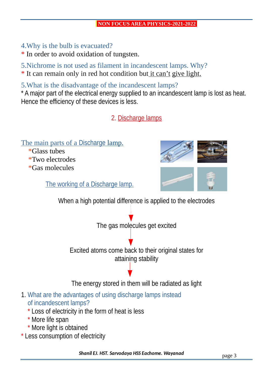- 4.Why is the bulb is evacuated?
- \* In order to avoid oxidation of tungsten.

5.Nichrome is not used as filament in incandescent lamps. Why?

\* It can remain only in red hot condition but it can't give light.

5.What is the disadvantage of the incandescent lamps?

\* A major part of the electrical energy supplied to an incandescent lamp is lost as heat. Hence the efficiency of these devices is less.

2. Discharge lamps

The main parts of a Discharge lamp.

 \*Glass tubes \*Two electrodes \*Gas molecules

The working of a Discharge lamp.



When a high potential difference is applied to the electrodes

The gas molecules get excited

Excited atoms come back to their original states for attaining stability

The energy stored in them will be radiated as light

- 1. What are the advantages of using discharge lamps instead of incandescent lamps?
	- \* Loss of electricity in the form of heat is less
	- \* More life span
	- \* More light is obtained
- \* Less consumption of electricity

Shanil EJ. HST. Sarvodaya HSS Eachome. Wayanad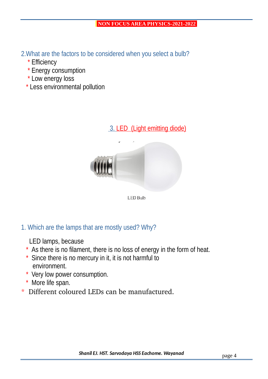2.What are the factors to be considered when you select a bulb?

- \* Efficiency
- \* Energy consumption
- \* Low energy loss
- \* Less environmental pollution

#### 3. LED (Light emitting diode)



1. Which are the lamps that are mostly used? Why?

LED lamps, because

- \* As there is no filament, there is no loss of energy in the form of heat.
- \* Since there is no mercury in it, it is not harmful to environment.
- \* Very low power consumption.
- \* More life span.
- \* Different coloured LEDs can be manufactured.